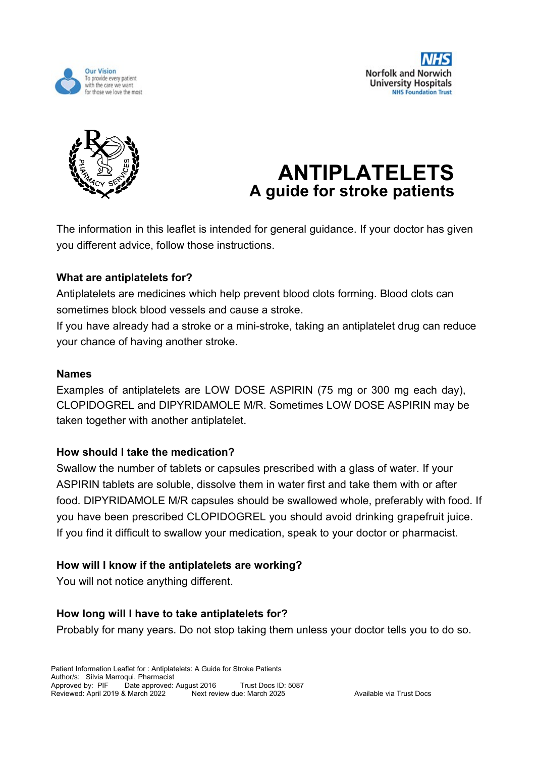





# **ANTIPLATELETS A guide for stroke patients**

The information in this leaflet is intended for general guidance. If your doctor has given you different advice, follow those instructions.

# **What are antiplatelets for?**

Antiplatelets are medicines which help prevent blood clots forming. Blood clots can sometimes block blood vessels and cause a stroke.

If you have already had a stroke or a mini-stroke, taking an antiplatelet drug can reduce your chance of having another stroke.

# **Names**

Examples of antiplatelets are LOW DOSE ASPIRIN (75 mg or 300 mg each day), CLOPIDOGREL and DIPYRIDAMOLE M/R. Sometimes LOW DOSE ASPIRIN may be taken together with another antiplatelet.

# **How should I take the medication?**

Swallow the number of tablets or capsules prescribed with a glass of water. If your ASPIRIN tablets are soluble, dissolve them in water first and take them with or after food. DIPYRIDAMOLE M/R capsules should be swallowed whole, preferably with food. If you have been prescribed CLOPIDOGREL you should avoid drinking grapefruit juice. If you find it difficult to swallow your medication, speak to your doctor or pharmacist.

# **How will I know if the antiplatelets are working?**

You will not notice anything different.

# **How long will I have to take antiplatelets for?**

Probably for many years. Do not stop taking them unless your doctor tells you to do so.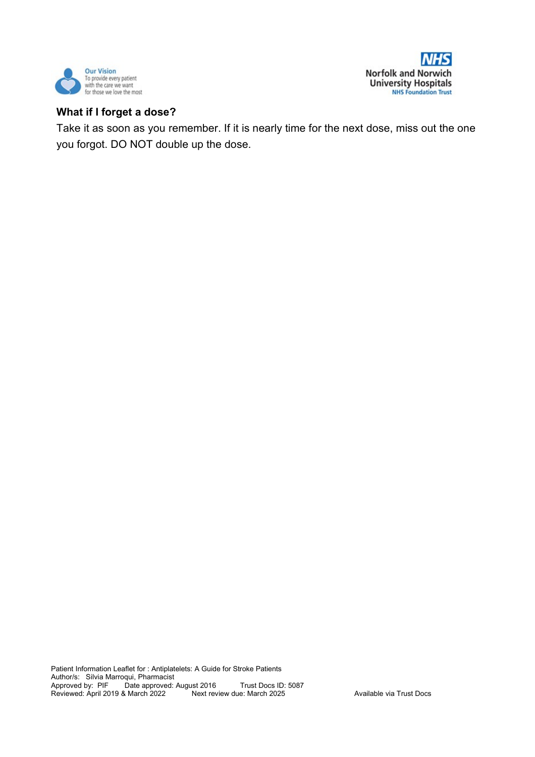



#### **What if I forget a dose?**

Take it as soon as you remember. If it is nearly time for the next dose, miss out the one you forgot. DO NOT double up the dose.